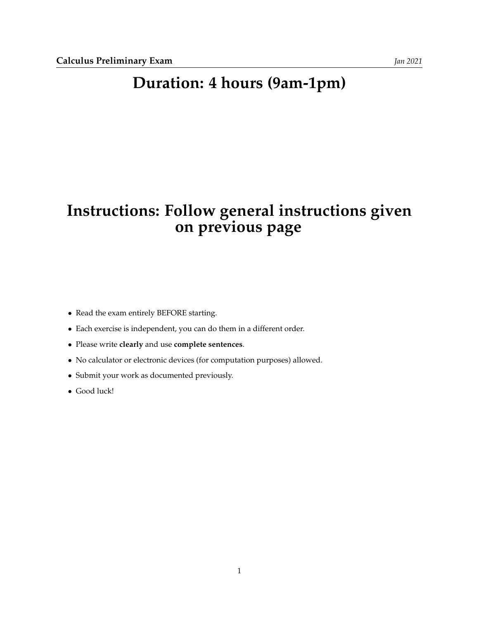## **Duration: 4 hours (9am-1pm)**

## **Instructions: Follow general instructions given on previous page**

- Read the exam entirely BEFORE starting.
- Each exercise is independent, you can do them in a different order.
- Please write **clearly** and use **complete sentences**.
- No calculator or electronic devices (for computation purposes) allowed.
- Submit your work as documented previously.
- Good luck!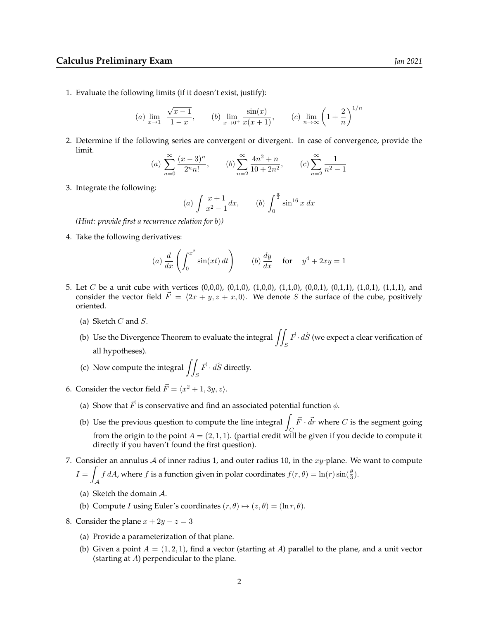1. Evaluate the following limits (if it doesn't exist, justify):

(a) 
$$
\lim_{x \to 1} \frac{\sqrt{x-1}}{1-x}
$$
, (b)  $\lim_{x \to 0^+} \frac{\sin(x)}{x(x+1)}$ , (c)  $\lim_{n \to \infty} \left(1 + \frac{2}{n}\right)^{1/n}$ 

2. Determine if the following series are convergent or divergent. In case of convergence, provide the limit.

(a) 
$$
\sum_{n=0}^{\infty} \frac{(x-3)^n}{2^n n!}
$$
, (b)  $\sum_{n=2}^{\infty} \frac{4n^2 + n}{10 + 2n^2}$ , (c)  $\sum_{n=2}^{\infty} \frac{1}{n^2 - 1}$ 

3. Integrate the following:

(a) 
$$
\int \frac{x+1}{x^2-1} dx
$$
, (b)  $\int_0^{\frac{\pi}{2}} \sin^{16} x dx$ 

*(Hint: provide first a recurrence relation for* b)*)*

4. Take the following derivatives:

(a) 
$$
\frac{d}{dx} \left( \int_0^{x^2} \sin(xt) dt \right)
$$
 (b)  $\frac{dy}{dx}$  for  $y^4 + 2xy = 1$ 

- 5. Let C be a unit cube with vertices (0,0,0), (0,1,0), (1,0,0), (1,1,0), (0,0,1), (0,1,1), (1,0,1), (1,1,1), and consider the vector field  $\vec{F} = \langle 2x + y, z + x, 0 \rangle$ . We denote S the surface of the cube, positively oriented.
	- (a) Sketch  $C$  and  $S$ .
	- (b) Use the Divergence Theorem to evaluate the integral  $\iint_S$  $\vec{F}\cdot\vec{dS}$  (we expect a clear verification of all hypotheses).
	- (c) Now compute the integral  $\iint_S$  $\vec{F}\cdot\vec{dS}$  directly.
- 6. Consider the vector field  $\vec{F} = \langle x^2 + 1, 3y, z \rangle$ .
	- (a) Show that  $\vec{F}$  is conservative and find an associated potential function  $\phi$ .
	- (b) Use the previous question to compute the line integral  $\int_C$  $\vec{F} \cdot \vec{dr}$  where  $C$  is the segment going from the origin to the point  $A = (2, 1, 1)$ . (partial credit will be given if you decide to compute it directly if you haven't found the first question).
- 7. Consider an annulus  $A$  of inner radius 1, and outer radius 10, in the  $xy$ -plane. We want to compute  $I =$  $\int_A f dA$ , where f is a function given in polar coordinates  $f(r, \theta) = \ln(r) \sin(\frac{\theta}{3})$ .
	- (a) Sketch the domain A.
	- (b) Compute *I* using Euler's coordinates  $(r, \theta) \mapsto (z, \theta) = (\ln r, \theta)$ .
- 8. Consider the plane  $x + 2y z = 3$ 
	- (a) Provide a parameterization of that plane.
	- (b) Given a point  $A = (1, 2, 1)$ , find a vector (starting at A) parallel to the plane, and a unit vector (starting at A) perpendicular to the plane.